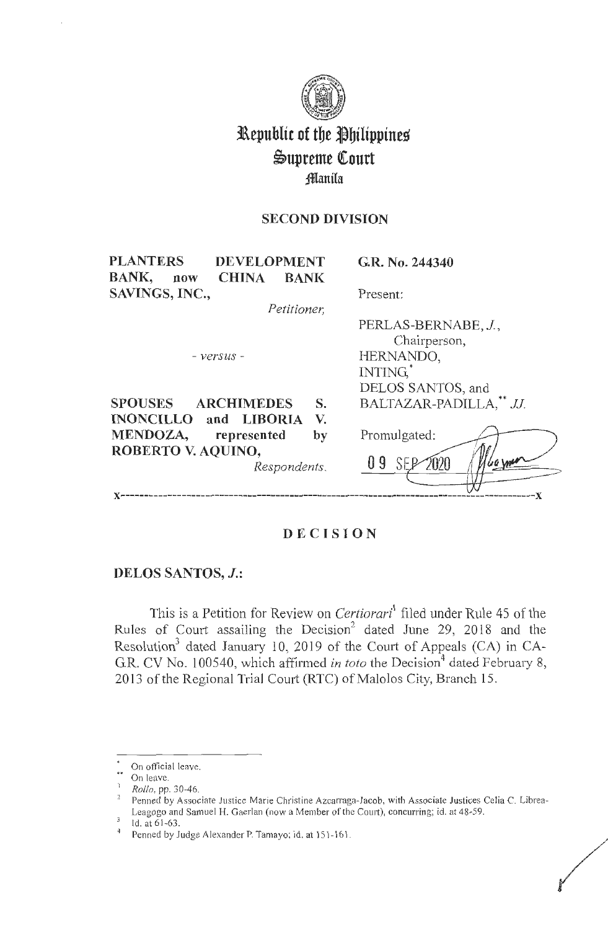

# **l\epubltc of tbe ~biltppine~**   $\mathfrak{S}$ upreme Court **:fflanila**

# **SECOND DIVISION**

| <b>PLANTERS</b><br><b>DEVELOPMENT</b>              | G.R. No. 244340         |
|----------------------------------------------------|-------------------------|
| <b>BANK,</b><br><b>CHINA</b><br><b>BANK</b><br>now |                         |
| SAVINGS, INC.,                                     | Present:                |
| Petitioner,                                        |                         |
|                                                    | PERLAS-BERNABE, J.,     |
|                                                    | Chairperson,            |
| - versus -                                         | HERNANDO,               |
|                                                    | INTING.                 |
|                                                    | DELOS SANTOS, and       |
| <b>SPOUSES</b><br><b>ARCHIMEDES</b><br>S.          | BALTAZAR-PADILLA,** JJ. |
| <b>INONCILLO</b> and <b>LIBORIA</b><br>V.          |                         |
| MENDOZA, represented<br>by                         | Promulgated:            |
| ROBERTO V. AQUINO,                                 |                         |
| Respondents.                                       | Wayner<br>O 9<br>2020   |
|                                                    |                         |
|                                                    |                         |

# **DECISION**

### **DELOS SANTOS, J.:**

This is a Petition for Review on *Certiorari* filed under Rule 45 of the Rules of Court assailing the Decision<sup>2</sup> dated June 29, 2018 and the Resolution<sup>3</sup> dated January 10, 2019 of the Court of Appeals (CA) in CA-G.R. CV No. 100540, which affirmed *in toto* the Decision<sup>4</sup> dated February 8, 2013 of the Regional Trial Court (RTC) of Malolos City, Branch 15.

On official leave.

<sup>••</sup> On leave.

<sup>1</sup>*Rollo,* pp. 30-46.

Penned by Associate Justice Marie Christine Azcarraga-Jacob, with Associate Justices Celia C. Librea-Leagogo and Samuel H. Gaerlan (now a Member of the Court), concurring; id. at 48-59.

Id. at 6 1-63.

Penned by Judge Alexander P. Tamayo; id. at 151-161.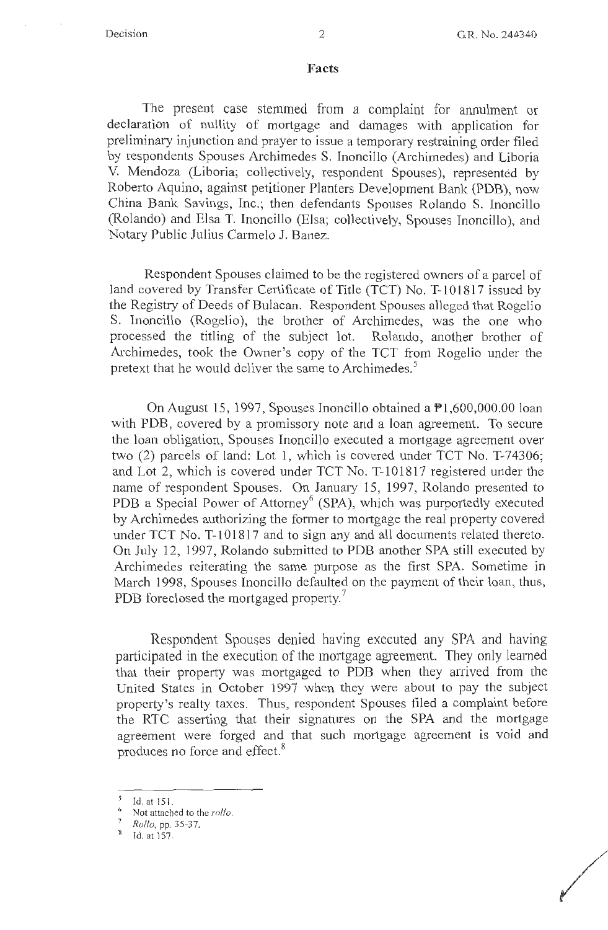p 100 million 100

### **Facts**

The present case stemmed from a complaint for annulment or declaration of nullity of mortgage and damages with application for preliminary injunction and prayer to issue a temporary restraining order filed by respondents Spouses Archimedes S. Inoncillo (Archimedes) and Liboria V. Mendoza (Liboria; collectively, respondent Spouses), represented by Roberto Aquino, against petitioner Planters Development Bank (PDB), now China Bank Savings, Inc.; then defendants Spouses Rolando S. Inoncillo (Rolando) and Elsa T. Inoncillo (Elsa; collectively, Spouses Inoncillo), and Notary Public Julius Carmelo J. Banez.

Respondent Spouses claimed to be the registered owners of a parcel of land covered by Transfer Certificate of Title (TCT) No. T-101817 issued by the Registry of Deeds of Bulacan. Respondent Spouses alleged that Rogelio S. Inoncillo (Rogelio), the brother of Archimedes, was the one who processed the titling of the subject lot. Rolando, another brother of Archimedes, took the Owner's copy of the TCT from Rogelio under the pretext that he would deliver the same to Archimedes.<sup>5</sup>

On August 15, 1997, Spouses Inoncillo obtained a  $\mathbb{P}1,600,000.00$  loan with PDB, covered by a promissory note and a loan agreement. To secure the loan obligation, Spouses Inoncillo executed a mortgage agreement over two (2) parcels of land: Lot l, which is covered under TCT No. T-74306; and Lot 2, which is covered under TCT No. T-101817 registered under the name of respondent Spouses. On January 15, 1997, Rolando presented to PDB a Special Power of Attorney<sup>6</sup> (SPA), which was purportedly executed by Archimedes authorizing the former to mortgage the real property covered under TCT No. T-101817 and to sign any and all documents related thereto. On July 12, 1997, Rolando submitted to PDB another SPA still executed by Archimedes reiterating the same purpose as the first SPA. Sometime in March 1998, Spouses Inoncillo defaulted on the payment of their loan, thus, PDB foreclosed the mortgaged property.<sup>7</sup>

Respondent Spouses denied having executed any SPA and having participated in the execution of the mortgage agreement. They only learned that their property was mortgaged to PDB when they arrived from the United States in October 1997 when they were about to pay the subject property's realty taxes. Thus, respondent Spouses filed a complaint before the RTC asserting that their signatures on the SPA and the mortgage agreement were forged and that such mortgage agreement is void and produces no force and effect.<sup>8</sup>

*<sup>5</sup>*Id. at 151.

<sup>&</sup>lt;sup>6</sup> Not attached to the *rollo*.

<sup>7</sup>*Rollo,* pp. 35-37.

 $<sup>8</sup>$  Id. at 157.</sup>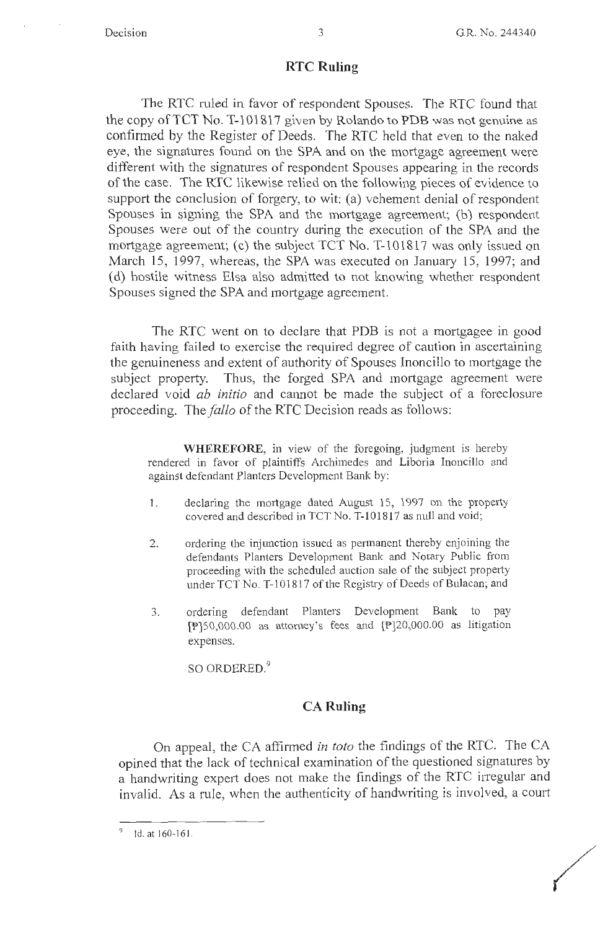### **RTC Ruling**

The RTC ruled in favor of respondent Spouses. The RTC found that the copy of TCT No. T-101817 given by Rolando to PDB was not genuine as confirmed by the Register of Deeds. The RTC held that even to the naked eye, the signatures found on the SPA and on the mortgage agreement were different with the signatures of respondent Spouses appearing in the records of the case. The RTC likewise relied on the following pieces of evidence to support the conclusion of forgery, to wit: (a) vehement denial of respondent Spouses in signing the SPA and the mortgage agreement; (b) respondent Spouses were out of the country during the execution of the SPA and the mortgage agreement; (c) the subject  $TCT$  No. T-101817 was only issued on March 15, 1997, whereas, the SPA was executed on January 15, 1997; and ( d) hostile witness Elsa also admitted to not knowing whether respondent Spouses signed the SPA and mortgage agreement.

The RTC went on to declare that PDB is not a mortgagee in good faith having failed to exercise the required degree of caution in ascertaining the genuineness and extent of authority of Spouses Inoncillo to mortgage the subject property. Thus, the forged SPA and mortgage agreement were declared void *ab initio* and cannot be made the subject of a foreclosure proceeding. The *fallo* of the RTC Decision reads as follows:

**WHEREFORE,** in view of the foregoing, judgment is hereby rendered in favor of plaintiffs Archimedes and Liboria Inoncillo and against defendant Planters Development Bank by:

- 1. declaring the mortgage dated August 15, 1997 on the property covered and described in TCTNo. T-101817 as null and void;
- 2. ordering the injunction issued as permanent thereby enjoining the defendants Planters Development Bank and Notary Public from proceeding with the scheduled auction sale of the subject property under TCT No. T-101817 of the Registry of Deeds of Bulacan; and
- 3. ordering defendant Planters Development Bank to pay [P]S0,000.00 as attorney's fees and [P]20,000.00 as litigation expenses.

SO ORDERED.<sup>9</sup>

### **CA Ruling**

On appeal, the CA affirmed *in toto* the findings of the RTC. The CA opined that the lack of technical examination of the questioned signatures by a handwriting expert does not make the findings of the RTC irregular and invalid. As a rule, when the authenticity of handwriting is involved, a court

 $^9$  Id. at 160-161.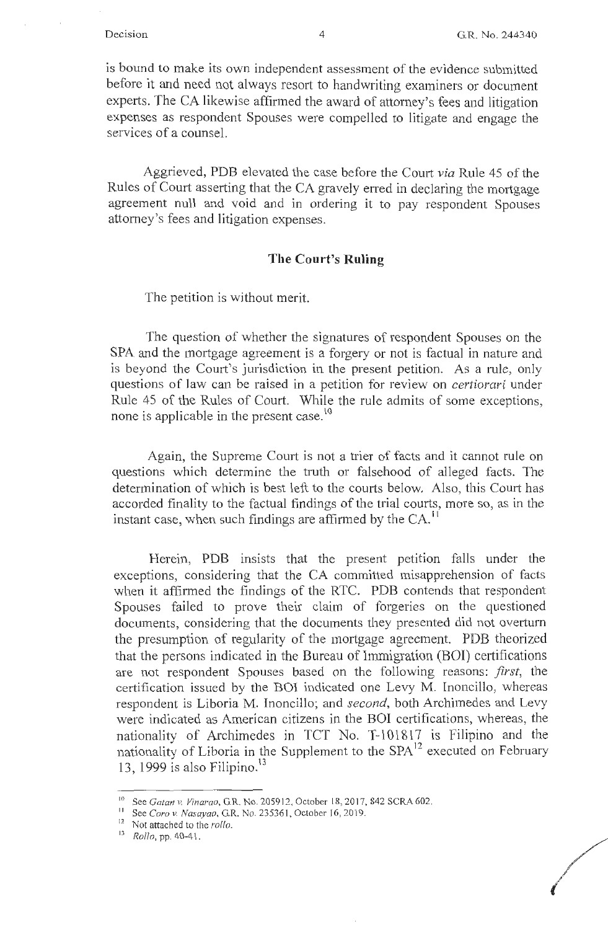/

is bound to make its own independent assessment of the evidence submitted before it and need not always resort to handwriting examiners or document experts. The CA likewise affirmed the award of attorney's fees and litigation expenses as respondent Spouses were compelled to litigate and engage the services of a counsel.

Aggrieved, PDB elevated the case before the Court *via* Rule 45 of the Rules of Court asserting that the CA gravely erred in declaring the mortgage agreement null and void and in ordering it to pay respondent Spouses attorney's fees and litigation expenses.

### **The Court's Ruling**

The petition is without merit.

The question of whether the signatures of respondent Spouses on the SPA and the mortgage agreement is a forgery or not is factual in nature and is beyond the Court's jurisdiction in the present petition. As a rule, only questions of law can be raised in a petition for review on *certiorari* under Rule 45 of the Rules of Court. While the rule admits of some exceptions, none is applicable in the present case.<sup>10</sup>

Again, the Supreme Court is not a trier of facts and it cannot rule on questions which determine the truth or falsehood of alleged facts. The determination of which is best left to the courts below. Also, this Court has accorded finality to the factual findings of the trial courts, more so, as in the instant case, when such findings are affirmed by the  $CA<sup>11</sup>$ 

Herein, PDB insists that the present petition falls under the exceptions, considering that the CA committed misapprehension of facts when it affirmed the findings of the RTC. PDB contends that respondent Spouses failed to prove their claim of forgeries on the questioned documents, considering that the documents they presented did not overturn the presumption of regularity of the mortgage agreement. PDB theorized that the persons indicated in the Bureau of Immigration (BOI) certifications are not respondent Spouses based on the following reasons: *first,* the certification issued by the BOI indicated one Levy M. lnoncillo, whereas respondent is Liberia M. Inoncillo; and *second,* both Archimedes and Levy were indicated as American citizens in the BOI certifications, whereas, the nationality of Archimedes in TCT No. T-101817 is Filipino and the nationality of Liboria in the Supplement to the SPA<sup>12</sup> executed on February 13, 1999 is also Filipino. $13$ 

<sup>&</sup>lt;sup>10</sup> See *Gatan v. Vinarao*, G.R. No. 205912, October 18, 2017, 842 SCRA 602.

<sup>11</sup>See *Coro v. Nasayao,* G.R. No. 235361 , October 16, 2019.

<sup>12</sup> Not attached to the *rollo.* 

<sup>D</sup>*Rollo,* pp. 40-41.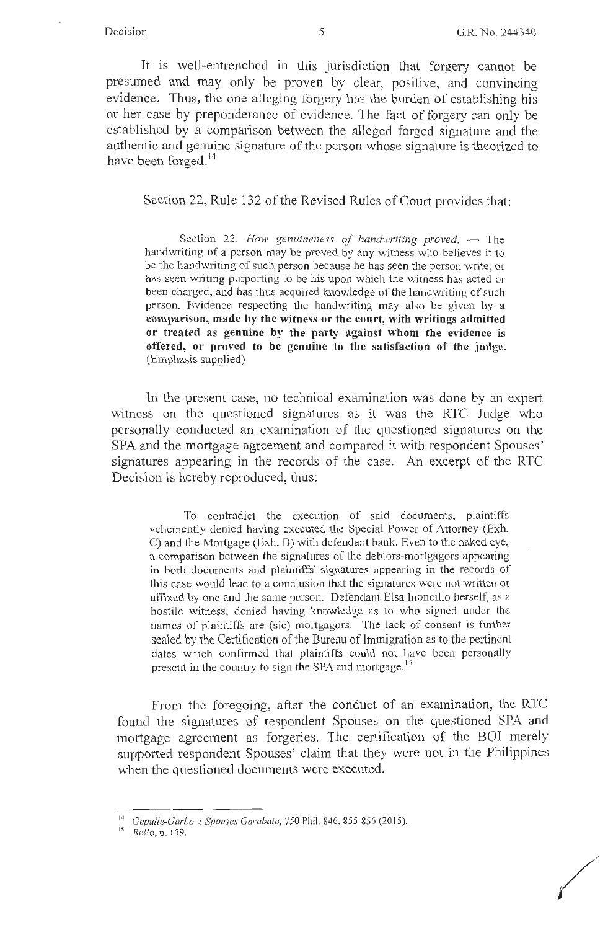/

It is well-entrenched in this jurisdiction that forgery cannot be presumed and may only be proven by clear, positive, and convincing evidence. Thus, the one alleging forgery has the burden of establishing his or her case by preponderance of evidence. The fact of forgery can only be established by a comparison between the alleged forged signature and the authentic and genuine signature of the person whose signature is theorized to have been forged.<sup>14</sup>

Section 22, Rule 132 of the Revised Rules of Court provides that:

Section 22. How genuineness of handwriting proved. - The handwriting of a person may be proved by any witness who believes it to be the handwriting of such person because he has seen the person write, or has seen writing purporting to be his upon which the witness has acted or been charged, and has thus acquired knowledge of the handwriting of such person. Evidence respecting the handwriting may also be given **by <sup>a</sup> comparison, made by the witness or the court, with writings admitted or treated as genuine by the party against whom the evidence is offered, or proved to be genuine to the satisfaction of the judge.**  (Emphasis supplied)

In the present case, no technical examination was done by an expert witness on the questioned signatures as it was the RTC Judge who personally conducted an examination of the questioned signatures on the SPA and the mortgage agreement and compared it with respondent Spouses' signatures appearing in the records of the case. An excerpt of the RTC Decision is hereby reproduced, thus:

To contradict the execution of said documents, plaintiffs vehemently denied having executed the Special Power of Attorney (Exh. C) and the Mortgage (Exh. B) with defendant bank. Even to the naked eye, a comparison between the signatures of the debtors-mortgagors appearing in both documents and plaintiffs' signatures appearing in the records of this case would lead to a conclusion that the signatures were not written or affixed by one and the same person. Defendant Elsa Inoncillo herself, as a hostile witness, denied having knowledge as to who signed under the names of plaintiffs are (sic) mortgagors. The lack of consent is further sealed by the Certification of the Bureau of Immigration as to the pertinent dates which confirmed that plaintiffs could not have been personally present in the country to sign the SPA and mortgage.<sup>15</sup>

From the foregoing, after the conduct of an examination, the RTC found the signatures of respondent Spouses on the questioned SPA and mortgage agreement as forgeries. The certification of the BOI merely supported respondent Spouses' claim that they were not in the Philippines when the questioned documents were executed.

<sup>1</sup> ' <sup>1</sup>*Gepulle-Garbo v. Spouses Garabato,* 750 Phil. 846, 855-856 (2015).

<sup>15</sup>*Rollo,* p. 159.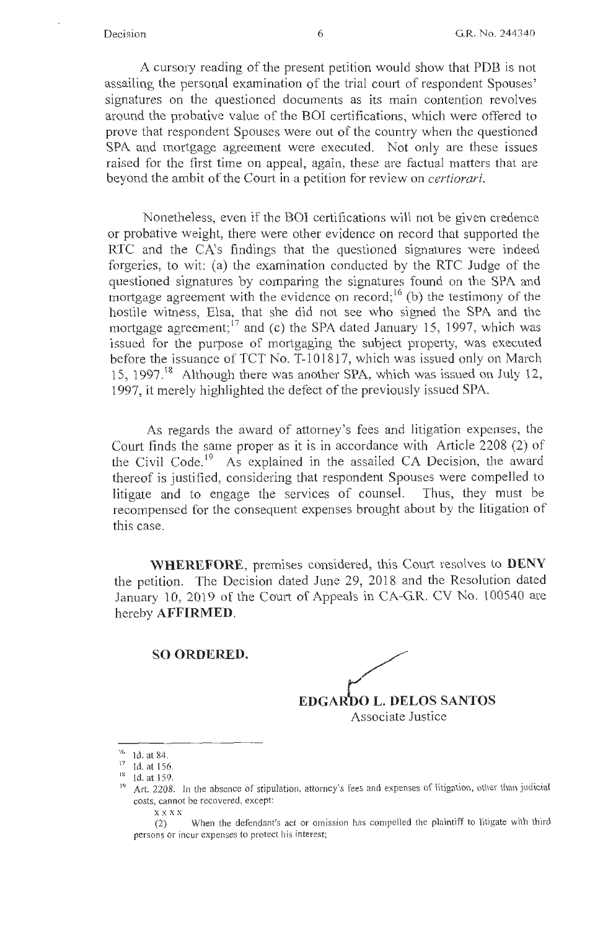A cursory reading of the present petition would show that PDB is not assailing the personal examination of the trial court of respondent Spouses' signatures on the questioned documents as its main contention revolves around the probative value of the BOI certifications, which were offered to prove that respondent Spouses were out of the country when the questioned SPA and mortgage agreement were executed. Not only are these issues raised for the first time on appeal, again, these are factual matters that are beyond the ambit of the Court in a petition for review on *certiorari.* 

Nonetheless, even if the B01 certifications will not be given credence or probative weight, there were other evidence on record that supported the RTC and the CA's findings that the questioned signatures were indeed forgeries, to wit: (a) the examination conducted by the RTC Judge of the questioned signatures by comparing the signatures found on the SPA and mortgage agreement with the evidence on record;  $(6)$  the testimony of the hostile witness, Elsa, that she did not see who signed the SPA and the mortgage agreement;  $17$  and (c) the SPA dated January 15, 1997, which was issued for the purpose of mortgaging the subject property, was executed before the issuance of TCT No. T-101817, which was issued only on March 15, 1997.<sup>18</sup> Although there was another SPA, which was issued on July 12, 1997, it merely highlighted the defect of the previously issued SPA.

As regards the award of attorney's fees and litigation expenses, the Court finds the same proper as it is in accordance with Article 2208 (2) of the Civil Code.<sup>19</sup> As explained in the assailed CA Decision, the award thereof is justified, considering that respondent Spouses were compelled to litigate and to engage the services of counsel. Thus, they must be recompensed for the consequent expenses brought about by the litigation of this case.

**WHEREFORE,** premises considered, this Comi resolves to **DENY**  the petition. The Decision dated June 29, 2018 and the Resolution dated January 10, 2019 of the Court of Appeals in CA-G.R. CV No. 100540 are hereby **AFFIRMED.** 

### **SO ORDERED.**



<sup>&</sup>lt;sup>16</sup> Id. at 84.

 $17$  Id. at 156.

<sup>18</sup> Id. at 159.

<sup>&</sup>lt;sup>19</sup> Art. 2208. In the absence of stipulation, attorney's fees and expenses of litigation, other than judicial costs, cannot be recovered, except:

xxxx

<sup>(2)</sup> When the defendant's act or omission has compelled the plaintiff to litigate with third persons or incur expenses to protect his interest;